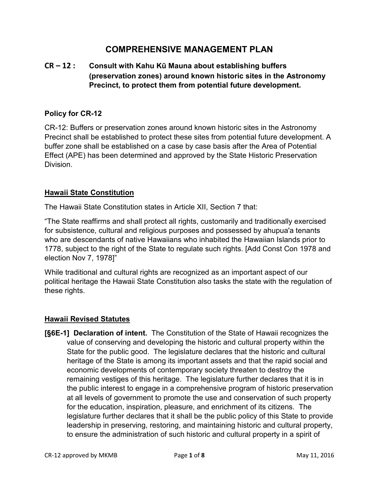# **COMPREHENSIVE MANAGEMENT PLAN**

# **CR – 12 : Consult with Kahu Kū Mauna about establishing buffers (preservation zones) around known historic sites in the Astronomy Precinct, to protect them from potential future development.**

### **Policy for CR-12**

CR-12: Buffers or preservation zones around known historic sites in the Astronomy Precinct shall be established to protect these sites from potential future development. A buffer zone shall be established on a case by case basis after the Area of Potential Effect (APE) has been determined and approved by the State Historic Preservation Division.

#### **Hawaii State Constitution**

The Hawaii State Constitution states in Article XII, Section 7 that:

"The State reaffirms and shall protect all rights, customarily and traditionally exercised for subsistence, cultural and religious purposes and possessed by ahupua'a tenants who are descendants of native Hawaiians who inhabited the Hawaiian Islands prior to 1778, subject to the right of the State to regulate such rights. [Add Const Con 1978 and election Nov 7, 1978]"

While traditional and cultural rights are recognized as an important aspect of our political heritage the Hawaii State Constitution also tasks the state with the regulation of these rights.

#### **Hawaii Revised Statutes**

**[§6E-1] Declaration of intent.** The Constitution of the State of Hawaii recognizes the value of conserving and developing the historic and cultural property within the State for the public good. The legislature declares that the historic and cultural heritage of the State is among its important assets and that the rapid social and economic developments of contemporary society threaten to destroy the remaining vestiges of this heritage. The legislature further declares that it is in the public interest to engage in a comprehensive program of historic preservation at all levels of government to promote the use and conservation of such property for the education, inspiration, pleasure, and enrichment of its citizens. The legislature further declares that it shall be the public policy of this State to provide leadership in preserving, restoring, and maintaining historic and cultural property, to ensure the administration of such historic and cultural property in a spirit of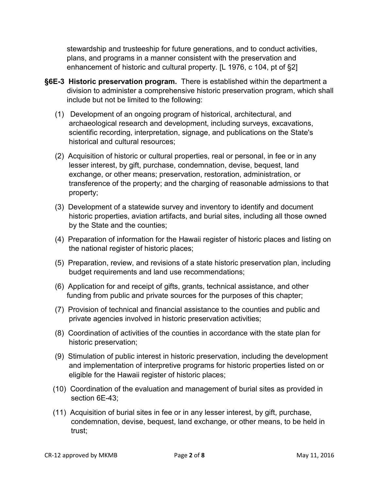stewardship and trusteeship for future generations, and to conduct activities, plans, and programs in a manner consistent with the preservation and enhancement of historic and cultural property. [L 1976, c 104, pt of §2]

- **§6E-3 Historic preservation program.** There is established within the department a division to administer a comprehensive historic preservation program, which shall include but not be limited to the following:
	- (1) Development of an ongoing program of historical, architectural, and archaeological research and development, including surveys, excavations, scientific recording, interpretation, signage, and publications on the State's historical and cultural resources;
	- (2) Acquisition of historic or cultural properties, real or personal, in fee or in any lesser interest, by gift, purchase, condemnation, devise, bequest, land exchange, or other means; preservation, restoration, administration, or transference of the property; and the charging of reasonable admissions to that property;
	- (3) Development of a statewide survey and inventory to identify and document historic properties, aviation artifacts, and burial sites, including all those owned by the State and the counties;
	- (4) Preparation of information for the Hawaii register of historic places and listing on the national register of historic places;
	- (5) Preparation, review, and revisions of a state historic preservation plan, including budget requirements and land use recommendations;
	- (6) Application for and receipt of gifts, grants, technical assistance, and other funding from public and private sources for the purposes of this chapter;
	- (7) Provision of technical and financial assistance to the counties and public and private agencies involved in historic preservation activities;
	- (8) Coordination of activities of the counties in accordance with the state plan for historic preservation;
	- (9) Stimulation of public interest in historic preservation, including the development and implementation of interpretive programs for historic properties listed on or eligible for the Hawaii register of historic places;
	- (10) Coordination of the evaluation and management of burial sites as provided in section 6E-43;
	- (11) Acquisition of burial sites in fee or in any lesser interest, by gift, purchase, condemnation, devise, bequest, land exchange, or other means, to be held in trust;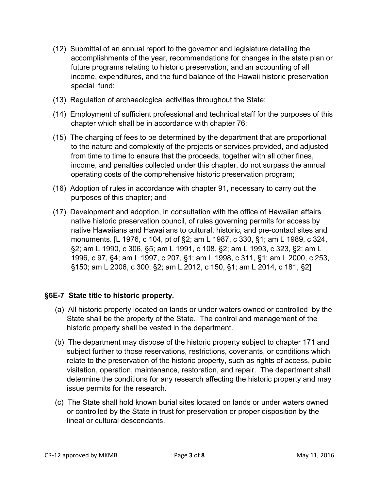- (12) Submittal of an annual report to the governor and legislature detailing the accomplishments of the year, recommendations for changes in the state plan or future programs relating to historic preservation, and an accounting of all income, expenditures, and the fund balance of the Hawaii historic preservation special fund;
- (13) Regulation of archaeological activities throughout the State;
- (14) Employment of sufficient professional and technical staff for the purposes of this chapter which shall be in accordance with chapter 76;
- (15) The charging of fees to be determined by the department that are proportional to the nature and complexity of the projects or services provided, and adjusted from time to time to ensure that the proceeds, together with all other fines, income, and penalties collected under this chapter, do not surpass the annual operating costs of the comprehensive historic preservation program;
- (16) Adoption of rules in accordance with chapter 91, necessary to carry out the purposes of this chapter; and
- (17) Development and adoption, in consultation with the office of Hawaiian affairs native historic preservation council, of rules governing permits for access by native Hawaiians and Hawaiians to cultural, historic, and pre-contact sites and monuments. [L 1976, c 104, pt of §2; am L 1987, c 330, §1; am L 1989, c 324, §2; am L 1990, c 306, §5; am L 1991, c 108, §2; am L 1993, c 323, §2; am L 1996, c 97, §4; am L 1997, c 207, §1; am L 1998, c 311, §1; am L 2000, c 253, §150; am L 2006, c 300, §2; am L 2012, c 150, §1; am L 2014, c 181, §2]

### **§6E-7 State title to historic property.**

- (a) All historic property located on lands or under waters owned or controlled by the State shall be the property of the State. The control and management of the historic property shall be vested in the department.
- (b) The department may dispose of the historic property subject to chapter 171 and subject further to those reservations, restrictions, covenants, or conditions which relate to the preservation of the historic property, such as rights of access, public visitation, operation, maintenance, restoration, and repair. The department shall determine the conditions for any research affecting the historic property and may issue permits for the research.
- (c) The State shall hold known burial sites located on lands or under waters owned or controlled by the State in trust for preservation or proper disposition by the lineal or cultural descendants.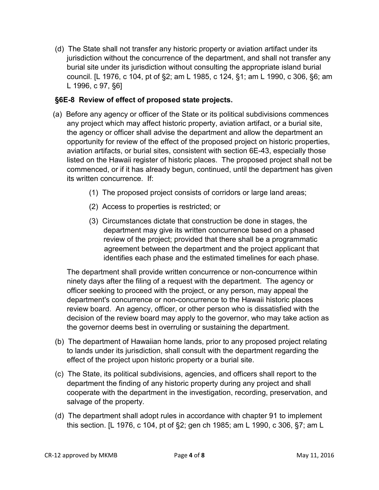(d) The State shall not transfer any historic property or aviation artifact under its jurisdiction without the concurrence of the department, and shall not transfer any burial site under its jurisdiction without consulting the appropriate island burial council. [L 1976, c 104, pt of §2; am L 1985, c 124, §1; am L 1990, c 306, §6; am L 1996, c 97, §6]

## **§6E-8 Review of effect of proposed state projects.**

- (a) Before any agency or officer of the State or its political subdivisions commences any project which may affect historic property, aviation artifact, or a burial site, the agency or officer shall advise the department and allow the department an opportunity for review of the effect of the proposed project on historic properties, aviation artifacts, or burial sites, consistent with section 6E-43, especially those listed on the Hawaii register of historic places. The proposed project shall not be commenced, or if it has already begun, continued, until the department has given its written concurrence. If:
	- (1) The proposed project consists of corridors or large land areas;
	- (2) Access to properties is restricted; or
	- (3) Circumstances dictate that construction be done in stages, the department may give its written concurrence based on a phased review of the project; provided that there shall be a programmatic agreement between the department and the project applicant that identifies each phase and the estimated timelines for each phase.

 The department shall provide written concurrence or non-concurrence within ninety days after the filing of a request with the department. The agency or officer seeking to proceed with the project, or any person, may appeal the department's concurrence or non-concurrence to the Hawaii historic places review board. An agency, officer, or other person who is dissatisfied with the decision of the review board may apply to the governor, who may take action as the governor deems best in overruling or sustaining the department.

- (b) The department of Hawaiian home lands, prior to any proposed project relating to lands under its jurisdiction, shall consult with the department regarding the effect of the project upon historic property or a burial site.
- (c) The State, its political subdivisions, agencies, and officers shall report to the department the finding of any historic property during any project and shall cooperate with the department in the investigation, recording, preservation, and salvage of the property.
- (d) The department shall adopt rules in accordance with chapter 91 to implement this section. [L 1976, c 104, pt of §2; gen ch 1985; am L 1990, c 306, §7; am L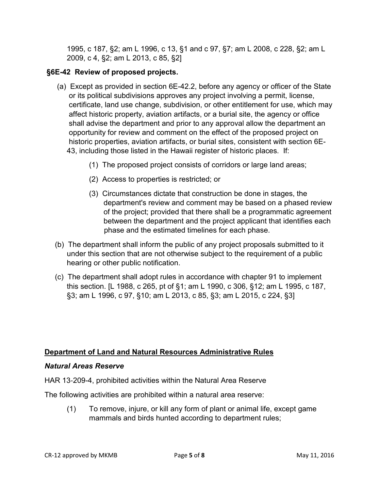1995, c 187, §2; am L 1996, c 13, §1 and c 97, §7; am L 2008, c 228, §2; am L 2009, c 4, §2; am L 2013, c 85, §2]

# **§6E-42 Review of proposed projects.**

- (a) Except as provided in section 6E-42.2, before any agency or officer of the State or its political subdivisions approves any project involving a permit, license, certificate, land use change, subdivision, or other entitlement for use, which may affect historic property, aviation artifacts, or a burial site, the agency or office shall advise the department and prior to any approval allow the department an opportunity for review and comment on the effect of the proposed project on historic properties, aviation artifacts, or burial sites, consistent with section 6E-43, including those listed in the Hawaii register of historic places.If:
	- (1) The proposed project consists of corridors or large land areas;
	- (2) Access to properties is restricted; or
	- (3) Circumstances dictate that construction be done in stages, the department's review and comment may be based on a phased review of the project; provided that there shall be a programmatic agreement between the department and the project applicant that identifies each phase and the estimated timelines for each phase.
- (b) The department shall inform the public of any project proposals submitted to it under this section that are not otherwise subject to the requirement of a public hearing or other public notification.
- (c) The department shall adopt rules in accordance with chapter 91 to implement this section. [L 1988, c 265, pt of §1; am L 1990, c 306, §12; am L 1995, c 187, §3; am L 1996, c 97, §10; am L 2013, c 85, §3; am L 2015, c 224, §3]

### **Department of Land and Natural Resources Administrative Rules**

#### *Natural Areas Reserve*

HAR 13‐209-4, prohibited activities within the Natural Area Reserve

The following activities are prohibited within a natural area reserve:

(1) To remove, injure, or kill any form of plant or animal life, except game mammals and birds hunted according to department rules;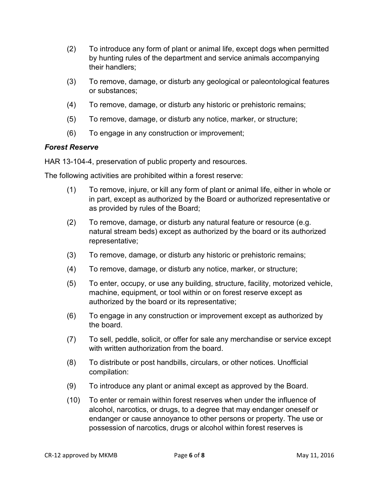- (2) To introduce any form of plant or animal life, except dogs when permitted by hunting rules of the department and service animals accompanying their handlers;
- (3) To remove, damage, or disturb any geological or paleontological features or substances;
- (4) To remove, damage, or disturb any historic or prehistoric remains;
- (5) To remove, damage, or disturb any notice, marker, or structure;
- (6) To engage in any construction or improvement;

#### *Forest Reserve*

HAR 13-104-4, preservation of public property and resources.

The following activities are prohibited within a forest reserve:

- (1) To remove, injure, or kill any form of plant or animal life, either in whole or in part, except as authorized by the Board or authorized representative or as provided by rules of the Board;
- (2) To remove, damage, or disturb any natural feature or resource (e.g. natural stream beds) except as authorized by the board or its authorized representative;
- (3) To remove, damage, or disturb any historic or prehistoric remains;
- (4) To remove, damage, or disturb any notice, marker, or structure;
- (5) To enter, occupy, or use any building, structure, facility, motorized vehicle, machine, equipment, or tool within or on forest reserve except as authorized by the board or its representative;
- (6) To engage in any construction or improvement except as authorized by the board.
- (7) To sell, peddle, solicit, or offer for sale any merchandise or service except with written authorization from the board
- (8) To distribute or post handbills, circulars, or other notices. Unofficial compilation:
- (9) To introduce any plant or animal except as approved by the Board.
- (10) To enter or remain within forest reserves when under the influence of alcohol, narcotics, or drugs, to a degree that may endanger oneself or endanger or cause annoyance to other persons or property. The use or possession of narcotics, drugs or alcohol within forest reserves is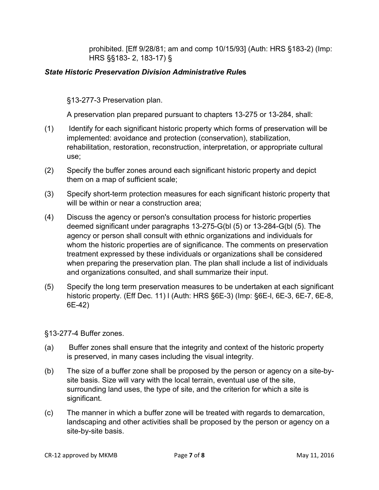prohibited. [Eff 9/28/81; am and comp 10/15/93] (Auth: HRS §183-2) (Imp: HRS §§183- 2, 183-17) §

#### *State Historic Preservation Division Administrative Rule***s**

§13-277-3 Preservation plan.

A preservation plan prepared pursuant to chapters 13-275 or 13-284, shall:

- (1) Identify for each significant historic property which forms of preservation will be implemented: avoidance and protection (conservation), stabilization, rehabilitation, restoration, reconstruction, interpretation, or appropriate cultural use;
- (2) Specify the buffer zones around each significant historic property and depict them on a map of sufficient scale;
- (3) Specify short-term protection measures for each significant historic property that will be within or near a construction area;
- (4) Discuss the agency or person's consultation process for historic properties deemed significant under paragraphs 13-275-G(bl (5) or 13-284-G(bl (5). The agency or person shall consult with ethnic organizations and individuals for whom the historic properties are of significance. The comments on preservation treatment expressed by these individuals or organizations shall be considered when preparing the preservation plan. The plan shall include a list of individuals and organizations consulted, and shall summarize their input.
- (5) Specify the long term preservation measures to be undertaken at each significant historic property. (Eff Dec. 11) l (Auth: HRS §6E-3) (Imp: §6E-l, 6E-3, 6E-7, 6E-8, 6E-42)

§13-277-4 Buffer zones.

- (a) Buffer zones shall ensure that the integrity and context of the historic property is preserved, in many cases including the visual integrity.
- (b) The size of a buffer zone shall be proposed by the person or agency on a site-bysite basis. Size will vary with the local terrain, eventual use of the site, surrounding land uses, the type of site, and the criterion for which a site is significant.
- (c) The manner in which a buffer zone will be treated with regards to demarcation, landscaping and other activities shall be proposed by the person or agency on a site-by-site basis.